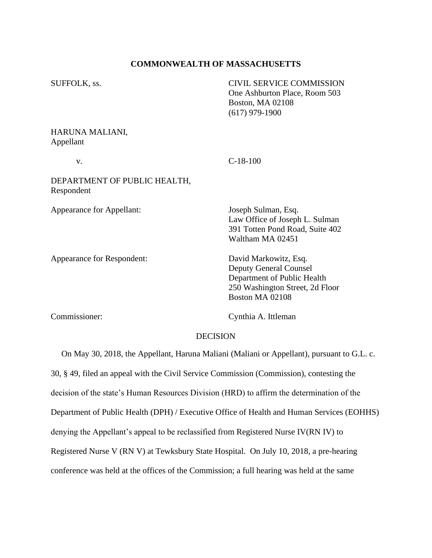# **COMMONWEALTH OF MASSACHUSETTS**

| SUFFOLK, ss.                               | <b>CIVIL SERVICE COMMISSION</b><br>One Ashburton Place, Room 503<br>Boston, MA 02108<br>$(617)$ 979-1900                                    |
|--------------------------------------------|---------------------------------------------------------------------------------------------------------------------------------------------|
| HARUNA MALIANI,<br>Appellant               |                                                                                                                                             |
| V.                                         | $C-18-100$                                                                                                                                  |
| DEPARTMENT OF PUBLIC HEALTH,<br>Respondent |                                                                                                                                             |
| Appearance for Appellant:                  | Joseph Sulman, Esq.<br>Law Office of Joseph L. Sulman<br>391 Totten Pond Road, Suite 402<br>Waltham MA 02451                                |
| Appearance for Respondent:                 | David Markowitz, Esq.<br><b>Deputy General Counsel</b><br>Department of Public Health<br>250 Washington Street, 2d Floor<br>Boston MA 02108 |

Commissioner: Cynthia A. Ittleman

## DECISION

 On May 30, 2018, the Appellant, Haruna Maliani (Maliani or Appellant), pursuant to G.L. c. 30, § 49, filed an appeal with the Civil Service Commission (Commission), contesting the decision of the state's Human Resources Division (HRD) to affirm the determination of the Department of Public Health (DPH) / Executive Office of Health and Human Services (EOHHS) denying the Appellant's appeal to be reclassified from Registered Nurse IV(RN IV) to Registered Nurse V (RN V) at Tewksbury State Hospital. On July 10, 2018, a pre-hearing conference was held at the offices of the Commission; a full hearing was held at the same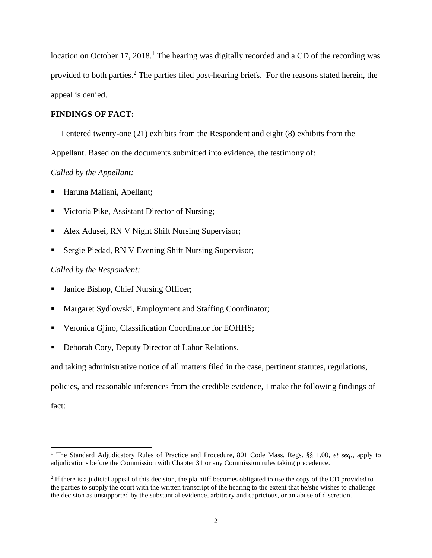location on October 17, 2018.<sup>1</sup> The hearing was digitally recorded and a CD of the recording was provided to both parties.<sup>2</sup> The parties filed post-hearing briefs. For the reasons stated herein, the appeal is denied.

## **FINDINGS OF FACT:**

I entered twenty-one (21) exhibits from the Respondent and eight (8) exhibits from the

Appellant. Based on the documents submitted into evidence, the testimony of:

## *Called by the Appellant:*

- Haruna Maliani, Apellant;
- Victoria Pike, Assistant Director of Nursing;
- Alex Adusei, RN V Night Shift Nursing Supervisor;
- Sergie Piedad, RN V Evening Shift Nursing Supervisor;

### *Called by the Respondent:*

- Janice Bishop, Chief Nursing Officer;
- Margaret Sydlowski, Employment and Staffing Coordinator;
- Veronica Gjino, Classification Coordinator for EOHHS;
- Deborah Cory, Deputy Director of Labor Relations.

and taking administrative notice of all matters filed in the case, pertinent statutes, regulations,

policies, and reasonable inferences from the credible evidence, I make the following findings of

fact:

<sup>1</sup> The Standard Adjudicatory Rules of Practice and Procedure, 801 Code Mass. Regs. §§ 1.00, *et seq.*, apply to adjudications before the Commission with Chapter 31 or any Commission rules taking precedence.

 $2$  If there is a judicial appeal of this decision, the plaintiff becomes obligated to use the copy of the CD provided to the parties to supply the court with the written transcript of the hearing to the extent that he/she wishes to challenge the decision as unsupported by the substantial evidence, arbitrary and capricious, or an abuse of discretion.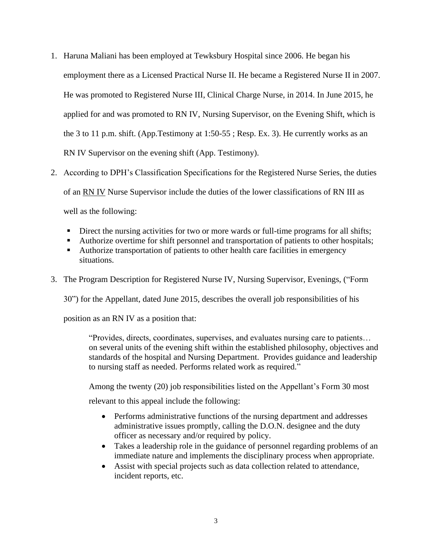- 1. Haruna Maliani has been employed at Tewksbury Hospital since 2006. He began his employment there as a Licensed Practical Nurse II. He became a Registered Nurse II in 2007. He was promoted to Registered Nurse III, Clinical Charge Nurse, in 2014. In June 2015, he applied for and was promoted to RN IV, Nursing Supervisor, on the Evening Shift, which is the 3 to 11 p.m. shift. (App.Testimony at 1:50-55 ; Resp. Ex. 3). He currently works as an RN IV Supervisor on the evening shift (App. Testimony).
- 2. According to DPH's Classification Specifications for the Registered Nurse Series, the duties of an RN IV Nurse Supervisor include the duties of the lower classifications of RN III as well as the following:
	- **•** Direct the nursing activities for two or more wards or full-time programs for all shifts;
	- Authorize overtime for shift personnel and transportation of patients to other hospitals;
	- Authorize transportation of patients to other health care facilities in emergency situations.
- 3. The Program Description for Registered Nurse IV, Nursing Supervisor, Evenings, ("Form

30") for the Appellant, dated June 2015, describes the overall job responsibilities of his

position as an RN IV as a position that:

"Provides, directs, coordinates, supervises, and evaluates nursing care to patients… on several units of the evening shift within the established philosophy, objectives and standards of the hospital and Nursing Department. Provides guidance and leadership to nursing staff as needed. Performs related work as required."

Among the twenty (20) job responsibilities listed on the Appellant's Form 30 most relevant to this appeal include the following:

- Performs administrative functions of the nursing department and addresses administrative issues promptly, calling the D.O.N. designee and the duty officer as necessary and/or required by policy.
- Takes a leadership role in the guidance of personnel regarding problems of an immediate nature and implements the disciplinary process when appropriate.
- Assist with special projects such as data collection related to attendance, incident reports, etc.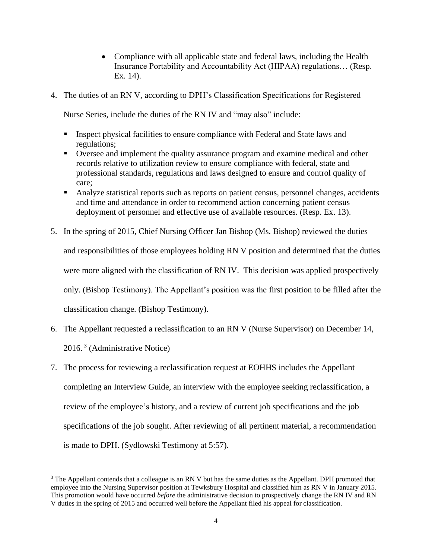- Compliance with all applicable state and federal laws, including the Health Insurance Portability and Accountability Act (HIPAA) regulations… (Resp. Ex. 14).
- 4. The duties of an RN V, according to DPH's Classification Specifications for Registered

Nurse Series, include the duties of the RN IV and "may also" include:

- Inspect physical facilities to ensure compliance with Federal and State laws and regulations;
- Oversee and implement the quality assurance program and examine medical and other records relative to utilization review to ensure compliance with federal, state and professional standards, regulations and laws designed to ensure and control quality of care;
- Analyze statistical reports such as reports on patient census, personnel changes, accidents and time and attendance in order to recommend action concerning patient census deployment of personnel and effective use of available resources. (Resp. Ex. 13).
- 5. In the spring of 2015, Chief Nursing Officer Jan Bishop (Ms. Bishop) reviewed the duties and responsibilities of those employees holding RN V position and determined that the duties were more aligned with the classification of RN IV. This decision was applied prospectively only. (Bishop Testimony). The Appellant's position was the first position to be filled after the classification change. (Bishop Testimony).
- 6. The Appellant requested a reclassification to an RN V (Nurse Supervisor) on December 14, 2016.<sup>3</sup> (Administrative Notice)
- 7. The process for reviewing a reclassification request at EOHHS includes the Appellant completing an Interview Guide, an interview with the employee seeking reclassification, a review of the employee's history, and a review of current job specifications and the job specifications of the job sought. After reviewing of all pertinent material, a recommendation is made to DPH. (Sydlowski Testimony at 5:57).

<sup>&</sup>lt;sup>3</sup> The Appellant contends that a colleague is an RN V but has the same duties as the Appellant. DPH promoted that employee into the Nursing Supervisor position at Tewksbury Hospital and classified him as RN V in January 2015. This promotion would have occurred *before* the administrative decision to prospectively change the RN IV and RN V duties in the spring of 2015 and occurred well before the Appellant filed his appeal for classification.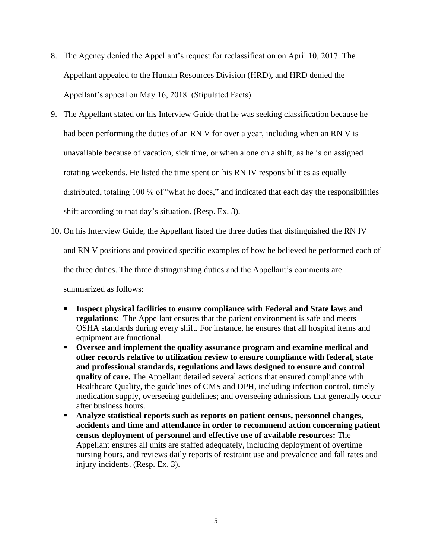- 8. The Agency denied the Appellant's request for reclassification on April 10, 2017. The Appellant appealed to the Human Resources Division (HRD), and HRD denied the Appellant's appeal on May 16, 2018. (Stipulated Facts).
- 9. The Appellant stated on his Interview Guide that he was seeking classification because he had been performing the duties of an RN V for over a year, including when an RN V is unavailable because of vacation, sick time, or when alone on a shift, as he is on assigned rotating weekends. He listed the time spent on his RN IV responsibilities as equally distributed, totaling 100 % of "what he does," and indicated that each day the responsibilities shift according to that day's situation. (Resp. Ex. 3).
- 10. On his Interview Guide, the Appellant listed the three duties that distinguished the RN IV and RN V positions and provided specific examples of how he believed he performed each of the three duties. The three distinguishing duties and the Appellant's comments are summarized as follows:
	- **Example 1** Inspect physical facilities to ensure compliance with Federal and State laws and **regulations**: The Appellant ensures that the patient environment is safe and meets OSHA standards during every shift. For instance, he ensures that all hospital items and equipment are functional.
	- **Oversee and implement the quality assurance program and examine medical and other records relative to utilization review to ensure compliance with federal, state and professional standards, regulations and laws designed to ensure and control quality of care.** The Appellant detailed several actions that ensured compliance with Healthcare Quality, the guidelines of CMS and DPH, including infection control, timely medication supply, overseeing guidelines; and overseeing admissions that generally occur after business hours.
	- Analyze statistical reports such as reports on patient census, personnel changes, **accidents and time and attendance in order to recommend action concerning patient census deployment of personnel and effective use of available resources:** The Appellant ensures all units are staffed adequately, including deployment of overtime nursing hours, and reviews daily reports of restraint use and prevalence and fall rates and injury incidents. (Resp. Ex. 3).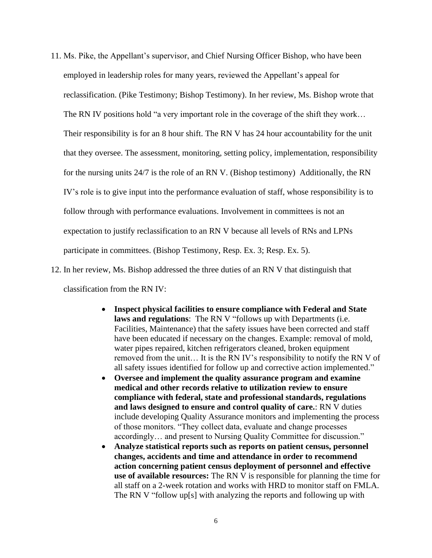- 11. Ms. Pike, the Appellant's supervisor, and Chief Nursing Officer Bishop, who have been employed in leadership roles for many years, reviewed the Appellant's appeal for reclassification. (Pike Testimony; Bishop Testimony). In her review, Ms. Bishop wrote that The RN IV positions hold "a very important role in the coverage of the shift they work... Their responsibility is for an 8 hour shift. The RN V has 24 hour accountability for the unit that they oversee. The assessment, monitoring, setting policy, implementation, responsibility for the nursing units 24/7 is the role of an RN V. (Bishop testimony) Additionally, the RN IV's role is to give input into the performance evaluation of staff, whose responsibility is to follow through with performance evaluations. Involvement in committees is not an expectation to justify reclassification to an RN V because all levels of RNs and LPNs participate in committees. (Bishop Testimony, Resp. Ex. 3; Resp. Ex. 5).
- 12. In her review, Ms. Bishop addressed the three duties of an RN V that distinguish that classification from the RN IV:
	- **Inspect physical facilities to ensure compliance with Federal and State laws and regulations**: The RN V "follows up with Departments (i.e. Facilities, Maintenance) that the safety issues have been corrected and staff have been educated if necessary on the changes. Example: removal of mold, water pipes repaired, kitchen refrigerators cleaned, broken equipment removed from the unit… It is the RN IV's responsibility to notify the RN V of all safety issues identified for follow up and corrective action implemented."
	- **Oversee and implement the quality assurance program and examine medical and other records relative to utilization review to ensure compliance with federal, state and professional standards, regulations and laws designed to ensure and control quality of care.**: RN V duties include developing Quality Assurance monitors and implementing the process of those monitors. "They collect data, evaluate and change processes accordingly… and present to Nursing Quality Committee for discussion."
	- **Analyze statistical reports such as reports on patient census, personnel changes, accidents and time and attendance in order to recommend action concerning patient census deployment of personnel and effective use of available resources:** The RN V is responsible for planning the time for all staff on a 2-week rotation and works with HRD to monitor staff on FMLA. The RN V "follow up[s] with analyzing the reports and following up with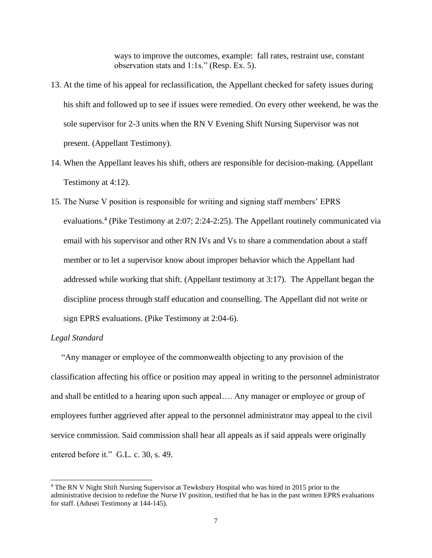ways to improve the outcomes, example: fall rates, restraint use, constant observation stats and 1:1s." (Resp. Ex. 5).

- 13. At the time of his appeal for reclassification, the Appellant checked for safety issues during his shift and followed up to see if issues were remedied. On every other weekend, he was the sole supervisor for 2-3 units when the RN V Evening Shift Nursing Supervisor was not present. (Appellant Testimony).
- 14. When the Appellant leaves his shift, others are responsible for decision-making. (Appellant Testimony at 4:12).
- 15. The Nurse V position is responsible for writing and signing staff members' EPRS evaluations.<sup>4</sup> (Pike Testimony at 2:07; 2:24-2:25). The Appellant routinely communicated via email with his supervisor and other RN IVs and Vs to share a commendation about a staff member or to let a supervisor know about improper behavior which the Appellant had addressed while working that shift. (Appellant testimony at 3:17). The Appellant began the discipline process through staff education and counselling. The Appellant did not write or sign EPRS evaluations. (Pike Testimony at 2:04-6).

## *Legal Standard*

 "Any manager or employee of the commonwealth objecting to any provision of the classification affecting his office or position may appeal in writing to the personnel administrator and shall be entitled to a hearing upon such appeal…. Any manager or employee or group of employees further aggrieved after appeal to the personnel administrator may appeal to the civil service commission. Said commission shall hear all appeals as if said appeals were originally entered before it." G.L. c. 30, s. 49.

<sup>4</sup> The RN V Night Shift Nursing Supervisor at Tewksbury Hospital who was hired in 2015 prior to the administrative decision to redefine the Nurse IV position, testified that he has in the past written EPRS evaluations for staff. (Adusei Testimony at 144-145).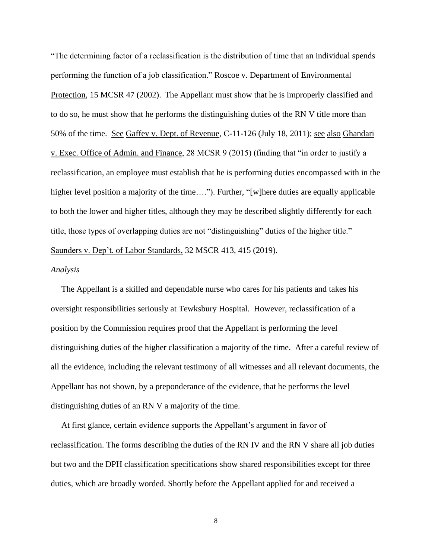"The determining factor of a reclassification is the distribution of time that an individual spends performing the function of a job classification." Roscoe v. Department of Environmental Protection, 15 MCSR 47 (2002). The Appellant must show that he is improperly classified and to do so, he must show that he performs the distinguishing duties of the RN V title more than 50% of the time. See Gaffey v. Dept. of Revenue, C-11-126 (July 18, 2011); see also Ghandari v. Exec. Office of Admin. and Finance, 28 MCSR 9 (2015) (finding that "in order to justify a reclassification, an employee must establish that he is performing duties encompassed with in the higher level position a majority of the time...."). Further, "[w]here duties are equally applicable to both the lower and higher titles, although they may be described slightly differently for each title, those types of overlapping duties are not "distinguishing" duties of the higher title." Saunders v. Dep't. of Labor Standards, 32 MSCR 413, 415 (2019).

#### *Analysis*

 The Appellant is a skilled and dependable nurse who cares for his patients and takes his oversight responsibilities seriously at Tewksbury Hospital. However, reclassification of a position by the Commission requires proof that the Appellant is performing the level distinguishing duties of the higher classification a majority of the time. After a careful review of all the evidence, including the relevant testimony of all witnesses and all relevant documents, the Appellant has not shown, by a preponderance of the evidence, that he performs the level distinguishing duties of an RN V a majority of the time.

 At first glance, certain evidence supports the Appellant's argument in favor of reclassification. The forms describing the duties of the RN IV and the RN V share all job duties but two and the DPH classification specifications show shared responsibilities except for three duties, which are broadly worded. Shortly before the Appellant applied for and received a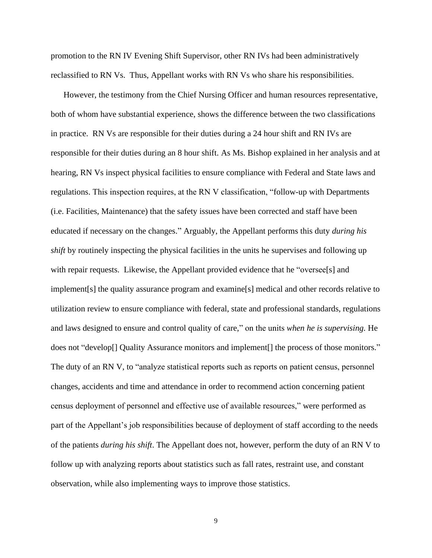promotion to the RN IV Evening Shift Supervisor, other RN IVs had been administratively reclassified to RN Vs. Thus, Appellant works with RN Vs who share his responsibilities.

 However, the testimony from the Chief Nursing Officer and human resources representative, both of whom have substantial experience, shows the difference between the two classifications in practice. RN Vs are responsible for their duties during a 24 hour shift and RN IVs are responsible for their duties during an 8 hour shift. As Ms. Bishop explained in her analysis and at hearing, RN Vs inspect physical facilities to ensure compliance with Federal and State laws and regulations. This inspection requires, at the RN V classification, "follow-up with Departments (i.e. Facilities, Maintenance) that the safety issues have been corrected and staff have been educated if necessary on the changes." Arguably, the Appellant performs this duty *during his shift* by routinely inspecting the physical facilities in the units he supervises and following up with repair requests. Likewise, the Appellant provided evidence that he "oversee[s] and implement[s] the quality assurance program and examine[s] medical and other records relative to utilization review to ensure compliance with federal, state and professional standards, regulations and laws designed to ensure and control quality of care," on the units *when he is supervising.* He does not "develop[] Quality Assurance monitors and implement[] the process of those monitors." The duty of an RN V, to "analyze statistical reports such as reports on patient census, personnel changes, accidents and time and attendance in order to recommend action concerning patient census deployment of personnel and effective use of available resources," were performed as part of the Appellant's job responsibilities because of deployment of staff according to the needs of the patients *during his shift*. The Appellant does not, however, perform the duty of an RN V to follow up with analyzing reports about statistics such as fall rates, restraint use, and constant observation, while also implementing ways to improve those statistics.

9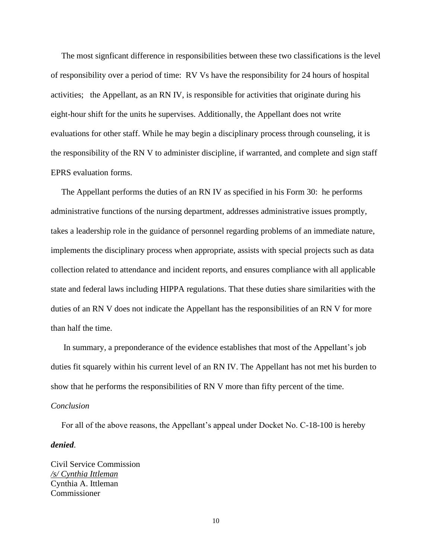The most signficant difference in responsibilities between these two classifications is the level of responsibility over a period of time: RV Vs have the responsibility for 24 hours of hospital activities; the Appellant, as an RN IV, is responsible for activities that originate during his eight-hour shift for the units he supervises. Additionally, the Appellant does not write evaluations for other staff. While he may begin a disciplinary process through counseling, it is the responsibility of the RN V to administer discipline, if warranted, and complete and sign staff EPRS evaluation forms.

 The Appellant performs the duties of an RN IV as specified in his Form 30: he performs administrative functions of the nursing department, addresses administrative issues promptly, takes a leadership role in the guidance of personnel regarding problems of an immediate nature, implements the disciplinary process when appropriate, assists with special projects such as data collection related to attendance and incident reports, and ensures compliance with all applicable state and federal laws including HIPPA regulations. That these duties share similarities with the duties of an RN V does not indicate the Appellant has the responsibilities of an RN V for more than half the time.

 In summary, a preponderance of the evidence establishes that most of the Appellant's job duties fit squarely within his current level of an RN IV. The Appellant has not met his burden to show that he performs the responsibilities of RN V more than fifty percent of the time. *Conclusion*

For all of the above reasons, the Appellant's appeal under Docket No. C-18-100 is hereby

*denied*.

Civil Service Commission */s/ Cynthia Ittleman* Cynthia A. Ittleman Commissioner